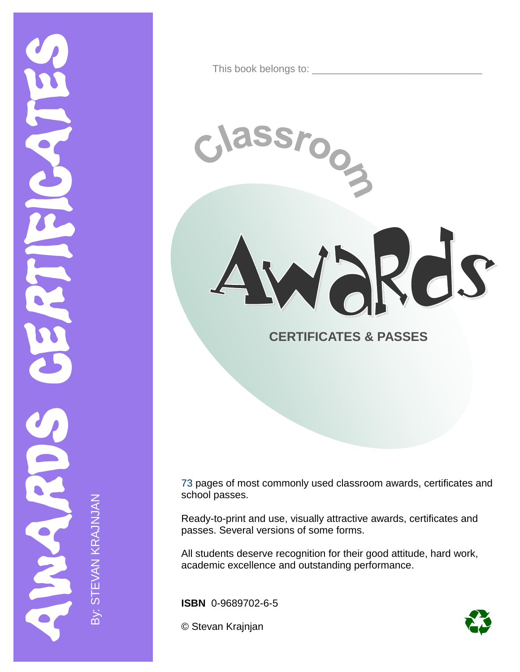This book belongs to: \_\_\_\_\_\_\_\_\_\_\_\_\_\_\_\_\_\_\_\_\_\_\_\_\_\_\_\_\_\_

SSr

Wakds

ioon

### **CERTIFICATES & PASSES**

73 pages of most commonly used classroom awards, certificates and school passes.

Ready-to-print and use, visually attractive awards, certificates and passes. Several versions of some forms.

All students deserve recognition for their good attitude, hard work, academic excellence and outstanding performance.

**ISBN** 0-9689702-6-5

© Stevan Krajnjan

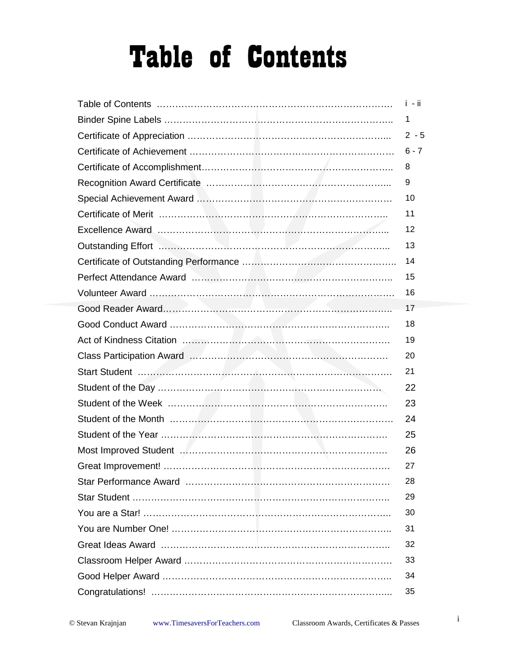# **Table of Contents**

|                                                                                                                        | $i - ii$ |
|------------------------------------------------------------------------------------------------------------------------|----------|
|                                                                                                                        | 1        |
|                                                                                                                        | $2 - 5$  |
|                                                                                                                        | $6 - 7$  |
|                                                                                                                        | 8        |
|                                                                                                                        | 9        |
|                                                                                                                        | 10       |
|                                                                                                                        | 11       |
|                                                                                                                        | 12       |
|                                                                                                                        | 13       |
|                                                                                                                        | 14       |
| Perfect Attendance Award <b>Machinery Machinery Machinery Advisors</b> Machinery Machinery Machinery Machinery Machine | 15       |
|                                                                                                                        | 16       |
|                                                                                                                        | 17       |
|                                                                                                                        | 18       |
|                                                                                                                        | 19       |
|                                                                                                                        | 20       |
|                                                                                                                        | 21       |
|                                                                                                                        | 22       |
|                                                                                                                        | 23       |
|                                                                                                                        | 24       |
|                                                                                                                        | 25       |
|                                                                                                                        | 26       |
|                                                                                                                        | 27       |
|                                                                                                                        | 28       |
|                                                                                                                        | 29       |
|                                                                                                                        | 30       |
|                                                                                                                        | 31       |
|                                                                                                                        | 32       |
|                                                                                                                        | 33       |
|                                                                                                                        | 34       |
|                                                                                                                        | 35       |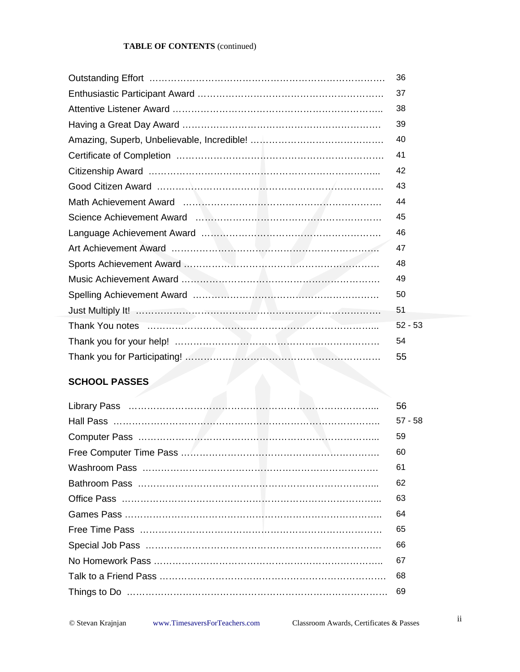#### **TABLE OF CONTENTS** (continued)

|                                                                                                                                                                                                                                      | 36        |
|--------------------------------------------------------------------------------------------------------------------------------------------------------------------------------------------------------------------------------------|-----------|
|                                                                                                                                                                                                                                      | 37        |
|                                                                                                                                                                                                                                      | 38        |
|                                                                                                                                                                                                                                      | 39        |
|                                                                                                                                                                                                                                      | 40        |
|                                                                                                                                                                                                                                      | 41        |
|                                                                                                                                                                                                                                      | 42        |
|                                                                                                                                                                                                                                      | 43        |
|                                                                                                                                                                                                                                      | 44        |
|                                                                                                                                                                                                                                      | 45        |
|                                                                                                                                                                                                                                      | 46        |
|                                                                                                                                                                                                                                      | 47        |
|                                                                                                                                                                                                                                      | 48        |
|                                                                                                                                                                                                                                      | 49        |
|                                                                                                                                                                                                                                      | 50        |
|                                                                                                                                                                                                                                      | 51        |
| Thank You notes <b>Manual Accord Contract Contract Accord Contract Contract Contract Contract Contract Contract Contract Contract Contract Contract Contract Contract Contract Contract Contract Contract Contract Contract Cont</b> | $52 - 53$ |
|                                                                                                                                                                                                                                      | 54        |
|                                                                                                                                                                                                                                      | 55        |

#### **SCHOOL PASSES**

| 56        |
|-----------|
| $57 - 58$ |
| 59        |
| 60        |
| 61        |
| 62        |
| 63        |
| 64        |
| 65        |
| 66        |
| 67        |
| 68        |
| 69        |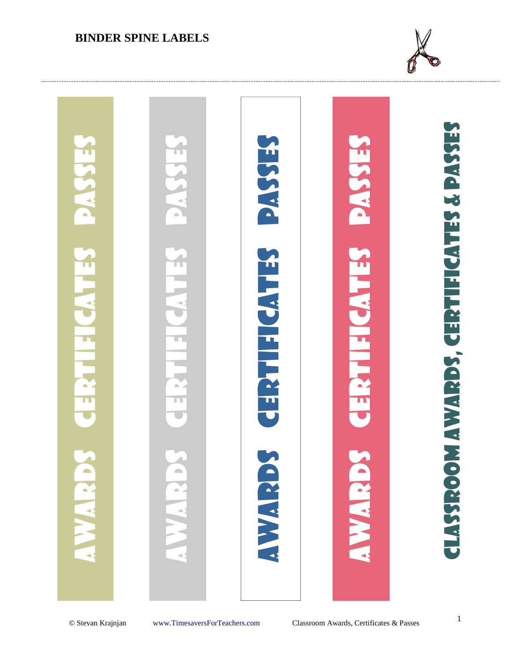#### **BINDER SPINE LABELS**



## Classroom Awards, Certificates & Passes **CLASSROOM AWARDS, CERTIFICATES & PASSES** Awards Certificates Passes Awards Certificates Passes [Awards Certificates Passes](http://www.timesaversforteachers.com/classroom-awards)  Awards Certificates Passes ERST E SA ST **CERTIFICATES** H U)  $\Box$ TI<br>U m n **SCCCT WATER**